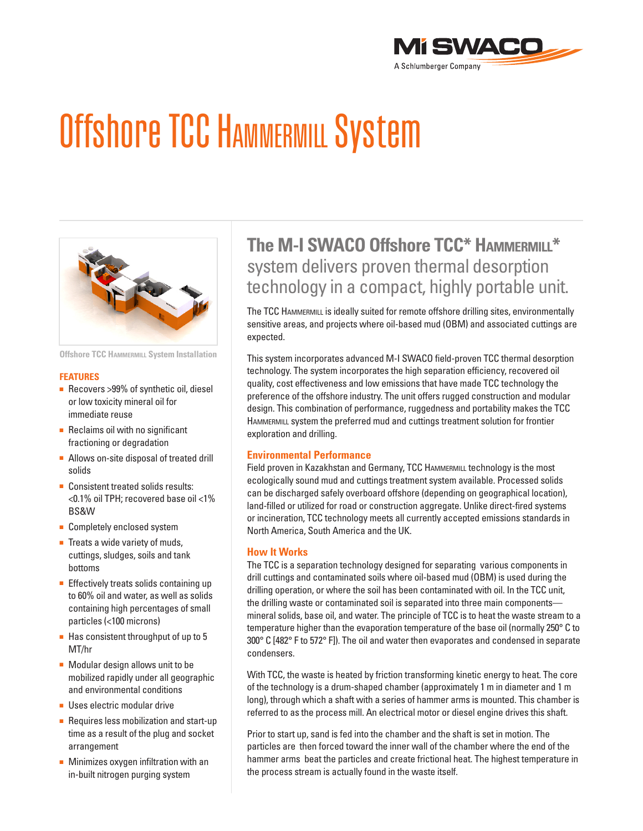

# Offshore TCC HAMMERMILL System



**Offshore TCC Hammermill System Installation**

#### **Features**

- Recovers > 99% of synthetic oil, diesel or low toxicity mineral oil for immediate reuse
- Reclaims oil with no significant fractioning or degradation
- Allows on-site disposal of treated drill solids
- Consistent treated solids results: <0.1% oil TPH; recovered base oil <1% BS&W
- Completely enclosed system
- Treats a wide variety of muds, cuttings, sludges, soils and tank bottoms
- Effectively treats solids containing up to 60% oil and water, as well as solids containing high percentages of small particles (<100 microns)
- Has consistent throughput of up to 5 MT/hr
- Modular design allows unit to be mobilized rapidly under all geographic and environmental conditions
- Uses electric modular drive
- Requires less mobilization and start-up time as a result of the plug and socket arrangement
- Minimizes oxygen infiltration with an in-built nitrogen purging system

# **The M-I SWACO Offshore TCC\* Hammermill\*** system delivers proven thermal desorption technology in a compact, highly portable unit.

The TCC HAMMERMILL is ideally suited for remote offshore drilling sites, environmentally sensitive areas, and projects where oil-based mud (OBM) and associated cuttings are expected.

This system incorporates advanced M-I SWACO field-proven TCC thermal desorption technology. The system incorporates the high separation efficiency, recovered oil quality, cost effectiveness and low emissions that have made TCC technology the preference of the offshore industry. The unit offers rugged construction and modular design. This combination of performance, ruggedness and portability makes the TCC HAMMERMILL system the preferred mud and cuttings treatment solution for frontier exploration and drilling.

# **Environmental Performance**

Field proven in Kazakhstan and Germany, TCC HAMMERMILL technology is the most ecologically sound mud and cuttings treatment system available. Processed solids can be discharged safely overboard offshore (depending on geographical location), land-filled or utilized for road or construction aggregate. Unlike direct-fired systems or incineration, TCC technology meets all currently accepted emissions standards in North America, South America and the UK.

#### **How It Works**

The TCC is a separation technology designed for separating various components in drill cuttings and contaminated soils where oil-based mud (OBM) is used during the drilling operation, or where the soil has been contaminated with oil. In the TCC unit, the drilling waste or contaminated soil is separated into three main components mineral solids, base oil, and water. The principle of TCC is to heat the waste stream to a temperature higher than the evaporation temperature of the base oil (normally 250° C to 300° C [482° F to 572° F]). The oil and water then evaporates and condensed in separate condensers.

With TCC, the waste is heated by friction transforming kinetic energy to heat. The core of the technology is a drum-shaped chamber (approximately 1 m in diameter and 1 m long), through which a shaft with a series of hammer arms is mounted. This chamber is referred to as the process mill. An electrical motor or diesel engine drives this shaft.

Prior to start up, sand is fed into the chamber and the shaft is set in motion. The particles are then forced toward the inner wall of the chamber where the end of the hammer arms beat the particles and create frictional heat. The highest temperature in the process stream is actually found in the waste itself.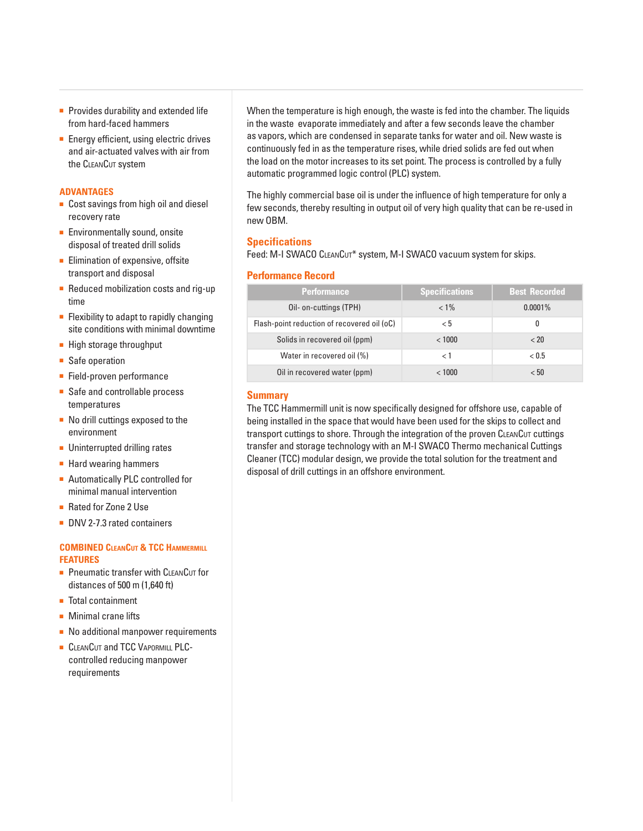- Provides durability and extended life from hard-faced hammers
- Energy efficient, using electric drives and air-actuated valves with air from the CLEANCUT system

# **Advantages**

- Cost savings from high oil and diesel recovery rate
- Environmentally sound, onsite disposal of treated drill solids
- Elimination of expensive, offsite transport and disposal
- Reduced mobilization costs and rig-up time
- Flexibility to adapt to rapidly changing site conditions with minimal downtime
- High storage throughput
- Safe operation
- Field-proven performance
- Safe and controllable process temperatures
- No drill cuttings exposed to the environment
- Uninterrupted drilling rates
- Hard wearing hammers
- Automatically PLC controlled for minimal manual intervention
- Rated for Zone 2 Use
- DNV 2-7.3 rated containers

## **Combined CleanCut & TCC Hammermill Features**

- Pneumatic transfer with CLEANCUT for distances of 500 m (1,640 ft)
- Total containment
- Minimal crane lifts
- No additional manpower requirements
- **CLEANCUT and TCC VAPORMILL PLC**controlled reducing manpower requirements

When the temperature is high enough, the waste is fed into the chamber. The liquids in the waste evaporate immediately and after a few seconds leave the chamber as vapors, which are condensed in separate tanks for water and oil. New waste is continuously fed in as the temperature rises, while dried solids are fed out when the load on the motor increases to its set point. The process is controlled by a fully automatic programmed logic control (PLC) system.

The highly commercial base oil is under the influence of high temperature for only a few seconds, thereby resulting in output oil of very high quality that can be re-used in new OBM.

# **Specifications**

Feed: M-I SWACO CLEANCUT\* system, M-I SWACO vacuum system for skips.

## **Performance Record**

| <b>Performance</b>                          | <b>Specifications</b> | <b>Best Recorded</b> |
|---------------------------------------------|-----------------------|----------------------|
| Oil- on-cuttings (TPH)                      | $< 1\%$               | $0.0001\%$           |
| Flash-point reduction of recovered oil (oC) | $\rm{< 5}$            | 0                    |
| Solids in recovered oil (ppm)               | < 1000                | < 20                 |
| Water in recovered oil (%)                  | < 1                   | < 0.5                |
| Oil in recovered water (ppm)                | < 1000                | < 50                 |

## **Summary**

The TCC Hammermill unit is now specifically designed for offshore use, capable of being installed in the space that would have been used for the skips to collect and transport cuttings to shore. Through the integration of the proven CLEANCUT cuttings transfer and storage technology with an M-I SWACO Thermo mechanical Cuttings Cleaner (TCC) modular design, we provide the total solution for the treatment and disposal of drill cuttings in an offshore environment.